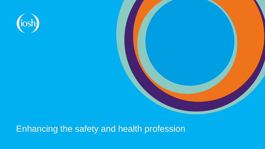

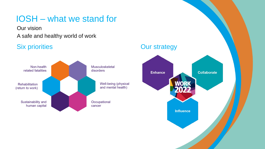### IOSH – what we stand for

Our vision

### A safe and healthy world of work



### Six priorities **Our strategy**

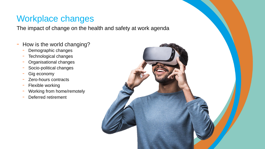### Workplace changes

The impact of change on the health and safety at work agenda

- How is the world changing?
	- Demographic changes
	- Technological changes
	- Organisational changes
	- Socio-political changes
	- Gig economy
	- Zero-hours contracts
	- Flexible working
	- Working from home/remotely
	- Deferred retirement

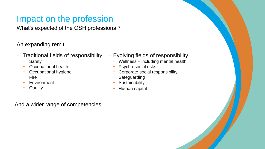## Impact on the profession

What's expected of the OSH professional?

An expanding remit:

- Traditional fields of responsibility
	- Safety
	- Occupational health
	- Occupational hygiene
	- **Fire**
	- **Environment**
	- **Quality**
- Evolving fields of responsibility
	- Wellness including mental health
	- Psycho-social risks
	- Corporate social responsibility
	- **Safeguarding**
	- **Sustainability**
	- Human capital

And a wider range of competencies.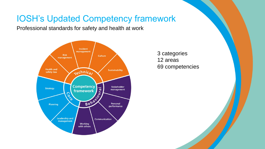### IOSH's Updated Competency framework

Professional standards for safety and health at work



3 categories 12 areas 69 competencies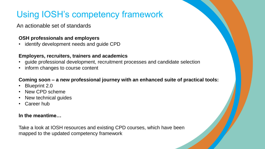# Using IOSH's competency framework

An actionable set of standards

#### **OSH professionals and employers**

• identify development needs and guide CPD

#### **Employers, recruiters, trainers and academics**

- guide professional development, recruitment processes and candidate selection
- inform changes to course content

#### **Coming soon – a new professional journey with an enhanced suite of practical tools:**

- Blueprint 2.0
- New CPD scheme
- New technical guides
- Career hub

#### **In the meantime…**

Take a look at IOSH resources and existing CPD courses, which have been mapped to the updated competency framework